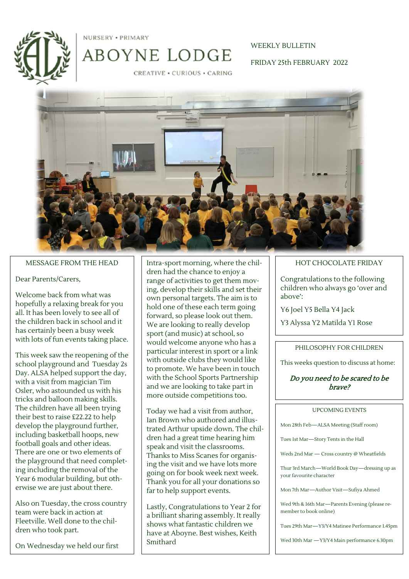

NURSERY . PRIMARY

# ABOYNE LODGE

# WEEKLY BULLETIN

FRIDAY 25th FEBRUARY 2022

**CREATIVE · CURIOUS · CARING** 



#### MESSAGE FROM THE HEAD

#### Dear Parents/Carers,

Welcome back from what was hopefully a relaxing break for you all. It has been lovely to see all of the children back in school and it has certainly been a busy week with lots of fun events taking place.

This week saw the reopening of the school playground and Tuesday 2s Day. ALSA helped support the day, with a visit from magician Tim Osler, who astounded us with his tricks and balloon making skills. The children have all been trying their best to raise £22.22 to help develop the playground further, including basketball hoops, new football goals and other ideas. There are one or two elements of the playground that need completing including the removal of the Year 6 modular building, but otherwise we are just about there.

Also on Tuesday, the cross country team were back in action at Fleetville. Well done to the children who took part.

On Wednesday we held our first

Intra-sport morning, where the children had the chance to enjoy a range of activities to get them moving, develop their skills and set their own personal targets. The aim is to hold one of these each term going forward, so please look out them. We are looking to really develop sport (and music) at school, so would welcome anyone who has a particular interest in sport or a link with outside clubs they would like to promote. We have been in touch with the School Sports Partnership and we are looking to take part in more outside competitions too.

Today we had a visit from author, Ian Brown who authored and illustrated Arthur upside down. The children had a great time hearing him speak and visit the classrooms. Thanks to Miss Scanes for organising the visit and we have lots more going on for book week next week. Thank you for all your donations so far to help support events.

Lastly, Congratulations to Year 2 for a brilliant sharing assembly. It really shows what fantastic children we have at Aboyne. Best wishes, Keith Smithard

### HOT CHOCOLATE FRIDAY

Congratulations to the following children who always go 'over and above':

Y6 Joel Y5 Bella Y4 Jack

Y3 Alyssa Y2 Matilda Y1 Rose

#### PHILOSOPHY FOR CHILDREN

This weeks question to discuss at home:

### Do you need to be scared to be brave?

#### UPCOMING EVENTS

Mon 28th Feb—ALSA Meeting (Staff room)

Tues 1st Mar—Story Tents in the Hall

Weds 2nd Mar — Cross country @ Wheatfields

Thur 3rd March—World Book Day—dressing up as your favourite character

Mon 7th Mar—Author Visit—Sufiya Ahmed

Wed 9th & 16th Mar—Parents Evening (please remember to book online)

Tues 29th Mar—Y3/Y4 Matinee Performance 1.45pm

Wed 30th Mar —Y3/Y4 Main performance 6.30pm